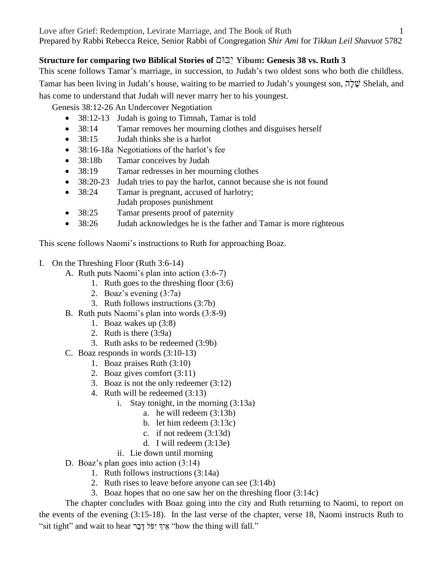# **Structure for comparing two Biblical Stories of** וםּבִּי **Yibum: Genesis 38 vs. Ruth 3**

This scene follows Tamar's marriage, in succession, to Judah's two oldest sons who both die childless. Tamar has been living in Judah's house, waiting to be married to Judah's youngest son, הָל ֵׁש Shelah, and has come to understand that Judah will never marry her to his youngest.

Genesis 38:12-26 An Undercover Negotiation

- 38:12-13 Judah is going to Timnah, Tamar is told
- 38:14 Tamar removes her mourning clothes and disguises herself
- 38:15 Judah thinks she is a harlot
- 38:16-18a Negotiations of the harlot's fee
- 38:18b Tamar conceives by Judah
- 38:19 Tamar redresses in her mourning clothes
- 38:20-23 Judah tries to pay the harlot, cannot because she is not found
- 38:24 Tamar is pregnant, accused of harlotry; Judah proposes punishment
- 38:25 Tamar presents proof of paternity
- 38:26 Judah acknowledges he is the father and Tamar is more righteous

This scene follows Naomi's instructions to Ruth for approaching Boaz.

- I. On the Threshing Floor (Ruth 3:6-14)
	- A. Ruth puts Naomi's plan into action (3:6-7)
		- 1. Ruth goes to the threshing floor (3:6)
			- 2. Boaz's evening (3:7a)
			- 3. Ruth follows instructions (3:7b)
	- B. Ruth puts Naomi's plan into words (3:8-9)
		- 1. Boaz wakes up (3:8)
		- 2. Ruth is there (3:9a)
		- 3. Ruth asks to be redeemed (3:9b)
	- C. Boaz responds in words (3:10-13)
		- 1. Boaz praises Ruth (3:10)
		- 2. Boaz gives comfort (3:11)
		- 3. Boaz is not the only redeemer (3:12)
		- 4. Ruth will be redeemed (3:13)
			- i. Stay tonight, in the morning (3:13a)
				- a. he will redeem (3:13b)
				- b. let him redeem (3:13c)
				- c. if not redeem (3:13d)
				- d. I will redeem (3:13e)
			- ii. Lie down until morning
	- D. Boaz's plan goes into action (3:14)
		- 1. Ruth follows instructions (3:14a)
		- 2. Ruth rises to leave before anyone can see (3:14b)
		- 3. Boaz hopes that no one saw her on the threshing floor (3:14c)

The chapter concludes with Boaz going into the city and Ruth returning to Naomi, to report on the events of the evening (3:15-18). In the last verse of the chapter, verse 18, Naomi instructs Ruth to "sit tight" and wait to hear "אֵיךְ יִפֹּל דַּבַר "how the thing will fall."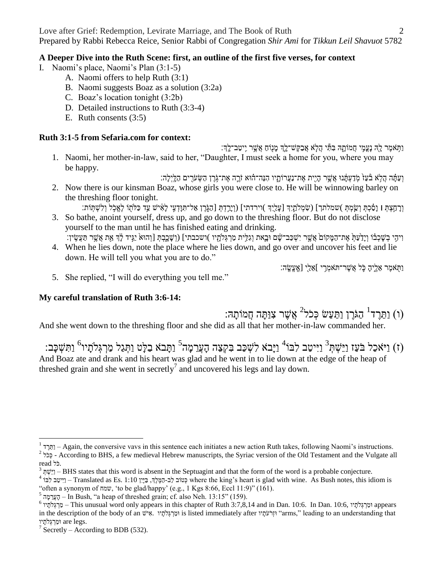Love after Grief: Redemption, Levirate Marriage, and The Book of Ruth 2 Prepared by Rabbi Rebecca Reice, Senior Rabbi of Congregation *Shir Ami* for *Tikkun Leil Shavuot* 5782

### **A Deeper Dive into the Ruth Scene: first, an outline of the first five verses, for context**

- I. Naomi's place, Naomi's Plan (3:1-5)
	- A. Naomi offers to help Ruth (3:1)
	- B. Naomi suggests Boaz as a solution (3:2a)
	- C. Boaz's location tonight (3:2b)
	- D. Detailed instructions to Ruth (3:3-4)
	- E. Ruth consents (3:5)

## **Ruth 3:1-5 from Sefaria.com for context:**

וַתְּאמֶר לָהְ נָעֲמִי חֲמוֹתֵָהּ בִּתִּ֣י הַלָֹּא אֲבַקֵּשׁ־לֵךְ מַנְוֹחַ אֲשֵׁר יֵיטַב־לֵךְ׃

1. Naomi, her mother-in-law, said to her, "Daughter, I must seek a home for you, where you may be happy.

וְעַתָּ֫ה הָלֹא בּٛעַז מְדַעְתָּ֫נוּ אֲשֶׁר הַיִית אֶת־נַעֲרוֹתֲיו הָנֵה־הוּא זֹרֱה אֶת־גֹּרֶן הַשְׂעֹרִים הַלֵּיְלַה:

- 2. Now there is our kinsman Boaz, whose girls you were close to. He will be winnowing barley on the threshing floor tonight.
- וְרַחֲצָתָּ l וַסָּכָתְ וְשֵׂמְתְּ )שמלתך] (שָׂמְלֹתֵיִךְ [עַלֵיהֵ )וירדתי] (וְיַרֵדָתְּ [הַגְּרֵן אֲל־תְּוַדְעֵי לַאָּיֹשׁ עֵד כַּלֹתָוֹ לְאֱכִל וְלִשְׁתְּוֹת: 3. So bathe, anoint yourself, dress up, and go down to the threshing floor. But do not disclose yourself to the man until he has finished eating and drinking. וִיהָי בְשָׁכְבֹו וְיָדַעַּתְּ אֶת־הַמָּקוֹם אֲשֶר יִשְׁכַב־שָׂם וּבָאת וְגִלִּית מַרְגִּלֹתָוּ )ושכבתי] (וְשָׁכֶבְתְּ [וְהוּאֹ יַגְּיד לָךְ אֵת אֲשֵר תַּעֲשִׂין:
- 4. When he lies down, note the place where he lies down, and go over and uncover his feet and lie down. He will tell you what you are to do."

וַתָֹּ֖ אמֶ ר אֵׁ לֶ ָ֑יהָ כָֹּ֛ ל אֲשֶ ר־תֹּאמְ רִ ֹּ֥ י ]אֵׁ לַ ָ֖י [אִֶֽ עֱשִֶֽ ה׃

5. She replied, "I will do everything you tell me."

### **My careful translation of Ruth 3:6-14:**

ו) וַתֵּרֶד<sup>1</sup> הַגֹּרֶן וַתַּעַשׂ כְּכֹל<sup>2</sup> אֲשֶׁר צִוּתָּה חֲמֹוֹתָהּ:

And she went down to the threshing floor and she did as all that her mother-in-law commanded her.

וָהַ הַעֲרֵמָה<sup>3</sup> וַיִּיטַב לִבּו<sup>4</sup> וַיָּבֹא לִשְׁכַּב בִּקְצֵה הָעֲרֵמָה<sup>5</sup> וַתָּבֹא בַלָּט וַתְּגַל מַרְגְּלֹתָיו<sup>6</sup> וַתִּשְׁכָּב: And Boaz ate and drank and his heart was glad and he went in to lie down at the edge of the heap of threshed grain and she went in secretly<sup>7</sup> and uncovered his legs and lay down.

 1 ד ֶר ֵׁתַו – Again, the conversive vavs in this sentence each initiates a new action Ruth takes, following Naomi's instructions.

<sup>&</sup>lt;sup>2</sup> בְּכֹל - According to BHS, a few medieval Hebrew manuscripts, the Syriac version of the Old Testament and the Vulgate all .כֹּל read

<sup>&</sup>lt;sup>3</sup> יְשֵׁהְ $-$  BHS states that this word is absent in the Septuagint and that the form of the word is a probable conjecture.

 $^4$  יְכְּיֵן Translated as Es. 1:10 בְיִינֵן הַבְּיֵן, בַּיָּיִן 1:10 בְּיִיטֵב לִּבֹּוֹ – Translated as Es. 1:10 בְיִיטַב לִבּוֹ "often a synonym of שמח,' to be glad/happy' (e.g., 1 Kgs 8:66, Eccl 11:9)" (161).

 $^5$  הֶעֲרֵמֶה, – In Bush, "a heap of threshed grain; cf. also Neh. 13:15" (159).

 $^6$  ימֵרְגִּלְתָיוּ – This unusual word only appears in this chapter of Ruth 3:7,8,14 and in Dan. 10:6. In Dan. 10:6, יוֹרְגִלְתִיוּ appears in the description of the body of an ישֵׁיש 
is listed immediately after יוֹתֹעֹתָיו "arms," leading to an understanding that וּמַרְ גְלֹתֵיו $\,$  are  $\,$ legs.

 $7$  Secretly – According to BDB (532).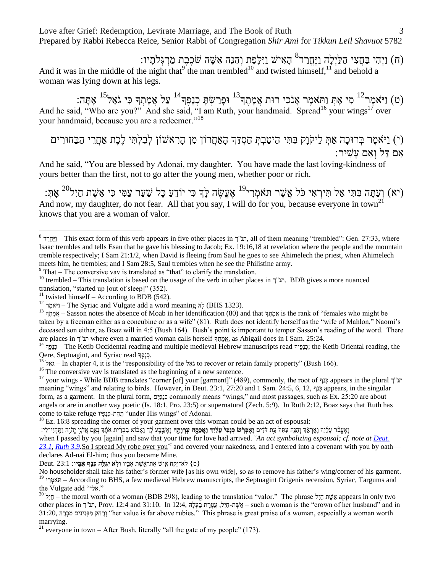Love after Grief: Redemption, Levirate Marriage, and The Book of Ruth 3 Prepared by Rabbi Rebecca Reice, Senior Rabbi of Congregation *Shir Ami* for *Tikkun Leil Shavuot* 5782

(ח) וַיְהִי בַּחֲצִי הַלַּיְלָה וַיֶּחֱרד<sup>8</sup> הָאִישׁ וַיִּלְפֵת וְהִנֵּה אִשָּׁה שֹׁכֶבֶת מַרְגְּלֹתָיו:

And it was in the middle of the night that  $9$  the man trembled  $10$  and twisted himself,  $11$  and behold a woman was lying down at his legs.

וֹס) וַיֹּאמֶר $^{12}$  מִי אָתְּ וַתּאמֶר אָנֹכִי רוּת אֲמֶתֶךְ $^{13}$  וּפָרַשְׂתָּ כְנָפֶךְ $^{14}$  עַל אֲמֶתְךָ כִּי גֹאֵל $^{12}$  אָתָה: And he said, "Who are you?" And she said, "I am Ruth, your handmaid. Spread<sup>16</sup> your wings<sup>17</sup> over your handmaid, because you are a redeemer."<sup>18</sup>

(י) וַיֹּאמֶר בְּרוּכָה אַתְּ לַיקֹּוָק בִּתִּי הֵיטַבְתְּ חַסְדֵּךְ הָאַחֲרוֹן מִן הָרִאשׁוֹן לְבִלְתִּי לֶכֶת אַחֲרֵי הַבַּחוּרִים אִם דַּל וְאִם עַשִׁיר:

And he said, "You are blessed by Adonai, my daughter. You have made the last loving-kindness of yours better than the first, not to go after the young men, whether poor or rich.

וַעֲתָּה בִּתִּי אַל תִּיךְאִי כֹּל אֲשֶׁר תּאמְרִי<sup>19</sup> אֶעֱשֶׂה לְּךָ כִּי יוֹדֵעַ כָּל שַׁעַר עַמִּי כִּי אֵשֶׁת חַיִל<sup>20</sup> אָתְּ: And now, my daughter, do not fear. All that you say, I will do for you, because everyone in town<sup>2</sup> knows that you are a woman of valor.

 $9$  That – The conversive vav is translated as "that" to clarify the translation.

<sup>10</sup> trembled – This translation is based on the usage of the verb in other places in תנ"ך. BDB gives a more nuanced translation, "started up [out of sleep]" (352).

 $\overline{a}$ 

declares Ad-nai El-him; thus you became Mine. {ס} לֹּא־יִקַ ֹּ֥ ח אִ ָ֖ יש אֶ ת־אִֵׁ֣ שֶ ת אָ בִ ָ֑ יו **ְוֹ֥ל א ְיַג ֶּ֖לה ְכַֹ֥נף ָא ִֽביו**׃ 23:1 .Deut

No householder shall take his father's former wife [as his own wife], so as to remove his father's wing/corner of his garment. <sup>19</sup> י האֹמְרִי <sup>19</sup> – According to BHS, a few medieval Hebrew manuscripts, the Septuagint Origenis recension, Syriac, Targums and

the Vulgate add "אֵל".

<sup>20</sup> לִיל<sup>20</sup> – the moral worth of a woman (BDB 298), leading to the translation "valor." The phrase אֲשֶׁת מַיִל appears in only two other places in תנ"ך, Prov. 12:4 and 31:10. In 12:4, אֲשֶׁת-חֵיִל, עֲטַרֶת בַּעֲלָה, 21:10. In 12:4, הַעֲלֹת ב 31:20, יְרָחֹק מִפְּנִינִים מִכְּרָה (her value is far above rubies." This phrase is great praise of a woman, especially a woman worth marrying.

<sup>21</sup> everyone in town – After Bush, literally "all the gate of my people" (173).

 $^8$  תנ"ך – This exact form of this verb appears in five other places in תנ"ך, all of them meaning "trembled": Gen. 27:33, where Isaac trembles and tells Esau that he gave his blessing to Jacob; Ex. 19:16,18 at revelation where the people and the mountain tremble respectively; I Sam 21:1/2, when David is fleeing from Saul he goes to see Ahimelech the priest, when Ahimelech meets him, he trembles; and I Sam 28:5, Saul trembles when he see the Philistine army.

<sup>&</sup>lt;sup>11</sup> twisted himself – According to BDB (542).

<sup>&</sup>lt;sup>12</sup> רְיֹאמֶר – The Syriac and Vulgate add a word meaning  $\frac{1}{r}$  (BHS 1323).

<sup>&</sup>lt;sup>13</sup> אֲמְחֵדְ fis the rank of "females who might be אֲמְחָדְ sis the rank of "females who might be taken by a freeman either as a concubine or as a wife" (81). Ruth does not identify herself as the "wife of Mahlon," Naomi's deceased son either, as Boaz will in 4:5 (Bush 164). Bush's point is important to temper Sasson's reading of the word. There are places in I Sam. 25:24. where even a married woman calls herself תֲמֶתֶךְ as Abigail does in I Sam. 25:24.

<sup>&</sup>lt;sup>14</sup> רָנָפֶאָךְ; the Ketib Occidental reading and multiple medieval Hebrew manuscripts read רְנָפֶא*ֶ*ךְ; the Ketib Oriental reading, the Qere, Septuagint, and Syriac read לְבָפֶךְ Gere, Septuagint, and Syriac read לְכָפָר

<sup>15</sup> ל ֵׁאֹּג – In chapter 4, it is the "responsibility of the ל ֵׁאֹּג to recover or retain family property" (Bush 166).

<sup>&</sup>lt;sup>16</sup> The conversive vav is translated as the beginning of a new sentence.

<sup>&</sup>lt;sup>17</sup> your wings - While BDB translates "corner [of] your [garment]" (489), commonly, the root of כְּנַף appears in the plural תנ"ך meaning "wings" and relating to birds. However, in Deut. 23:1, 27:20 and 1 Sam. 24:5, 6, 12, בְּוֹל appears, in the singular form, as a garment. In the plural form, םִיַפָנ ְכ commonly means "wings," and most passages, such as Ex. 25:20 are about angels or are in another way poetic (Is. 18:1, Pro. 23:5) or supernatural (Zech. 5:9). In Ruth 2:12, Boaz says that Ruth has come to take refuge יוָפָנ ְכ-תַח ַת" under His wings" of Adonai.

 $18$  Ez. 16:8 spreading the corner of your garment over this woman could be an act of espousal:

ואַעֲבֹּר עַלוִדְ וַאֵראֶדְ וִהְגֶה עִתַּךְ עֵת דֹדִים ו**ַאִפְרִשׁ כִּנַפִּי עַלוִדְ וַאֲכִם עָרוֹתֵדְ** וַאֲשֶׁבַע לַךְ וַאֲבֹוּא בִבְרִית אֹתָדְ נָאֱם אֲדֹנֵי יֵהֹוֶה וַתְּהִיִי־לַי: when I passed by you [again] and saw that your time for love had arrived. <sup>c</sup>An act symbolizing espousal; cf. note at *Deut.* [23.1,](/Deuteronomy.23.1) *Ruth* 3.9.So I spread My robe over you<sup>-c</sup> and covered your nakedness, and I entered into a covenant with you by oath—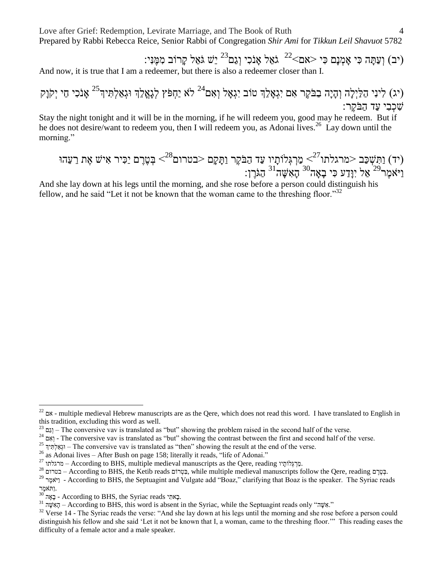Love after Grief: Redemption, Levirate Marriage, and The Book of Ruth 4 Prepared by Rabbi Rebecca Reice, Senior Rabbi of Congregation *Shir Ami* for *Tikkun Leil Shavuot* 5782

:יֵּשׁ גֹּאֵל קָרוֹב מִמֶּנִּי) (יִב) וְעַתָּה כִּי אָמְנָם כִּי <אם $^{22}$  גֹּאֵל אֲנֹכִי וְגַם $^{22}$ And now, it is true that I am a redeemer, but there is also a redeemer closer than I.

יג) לִינִי הַלַּיְלָה וְהָיָה בַבֹּקֶר אִם יִגְאָלֵךְ טוֹב יִגְאָל וְאִם<sup>24</sup> לֹא יַחְפֹּץ לְגָאֲלֵךְ וּגְאַלְתִּיךְ<sup>25</sup> אָנֹכִי חַי יְקֹוַק שִׁכְבִי עַד הַבֹּקֶר:

Stay the night tonight and it will be in the morning, if he will redeem you, good may he redeem. But if he does not desire/want to redeem you, then I will redeem you, as Adonai lives.<sup>26</sup> Lay down until the morning."

(יד) נּתַּשְּפַב ≲מרגלחנ<sup>27</sup>>ִ פַרְגָּלִנְיִיַ נּדַ דְ הַבִּמָר נְתַמֶָם ≍בטרום<sup>28</sup>ָֹ בְדְּדָדָ 
$$
\leq^{27}
$$
אַזשָ אָת בְיצְהִדּ $^{29}$ הָגֶשִֶה $^{16}$  הַגִּרֶָן:

And she lay down at his legs until the morning, and she rose before a person could distinguish his fellow, and he said "Let it not be known that the woman came to the threshing floor." $32$ 

 $26$  as Adonai lives – After Bush on page 158; literally it reads, "life of Adonai."

 $\overline{a}$ 

<sup>&</sup>lt;sup>22</sup> אם - multiple medieval Hebrew manuscripts are as the Qere, which does not read this word. I have translated to English in this tradition, excluding this word as well.

<sup>&</sup>lt;sup>23</sup> וגם – The conversive vav is translated as "but" showing the problem raised in the second half of the verse.

<sup>&</sup>lt;sup>24</sup> וְאֵם - The conversive vav is translated as "but" showing the contrast between the first and second half of the verse.

<sup>&</sup>lt;sup>25</sup> וּגאַלְתִּיךְ <sup>25</sup> – The conversive vav is translated as "then" showing the result at the end of the verse.

<sup>&</sup>lt;sup>27</sup> מרגלתו – According to BHS, multiple medieval manuscripts as the Qere, reading מִרְגְּלוֹתָיוּ.

<sup>&</sup>lt;sup>28</sup> בטרום – According to BHS, the Ketib reads בְּטָרוֹם, while multiple medieval manuscripts follow the Qere, reading

<sup>&</sup>lt;sup>29</sup> ראמר - According to BHS, the Septuagint and Vulgate add "Boaz," clarifying that Boaz is the speaker. The Syriac reads .וַתֹּאמֶ ר

בָאָה - According to BHS, the Syriac reads - בָאָה.

 $\frac{31}{2}$ הָאִשָּׁה – According to BHS, this word is absent in the Syriac, while the Septuagint reads only "הָאָשָּׁה."

<sup>&</sup>lt;sup>32</sup> Verse 14 - The Syriac reads the verse: "And she lay down at his legs until the morning and she rose before a person could distinguish his fellow and she said 'Let it not be known that I, a woman, came to the threshing floor.'" This reading eases the difficulty of a female actor and a male speaker.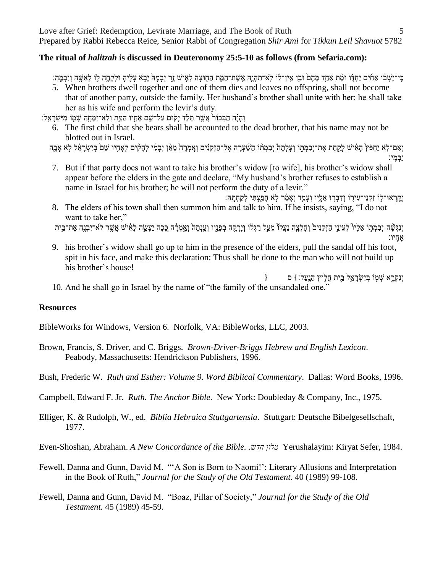#### **The ritual of** *halitzah* **is discussed in Deuteronomy 25:5-10 as follows (from Sefaria.com):**

כּי־ישׁבּוּ אחים יחדו וּמֹת אחד מהם וּבן אין־לֹוֹ לא־תהיה אשת־המת החוצה לאיש זר יבמה יבא עליה וּלקחה לוֹ לאשה ויבּמה:

5. When brothers dwell together and one of them dies and leaves no offspring, shall not become that of another party, outside the family. Her husband's brother shall unite with her: he shall take her as his wife and perform the levir's duty.

וְהָיָּה הַבְּכוֹר אֲשֵׁר תֵּלֵּ֣ד יַקְּוִּם עַל־ּשֵׁם אֶחָיו הַמֵּ֑ת וְלֹּא־יִמֶּחֵ֣ה שִׁמְּוֹ מִיִּשְׂרַאֵל:

- 6. The first child that she bears shall be accounted to the dead brother, that his name may not be blotted out in Israel.
- וְאָם־לָא יַחָפֹּץ הָאִישׁ לַקְחַת אֶת־יִבְמְתָּוֹ וְעַלְתַהْ יִבְמְתּוֹ הַשָּׁעָרָה אֱל־הַזְקֵנִים וְאֲמְרַה מָאֱן יִבָמִי לְהָקִים לְאֲחָיו שֶׁם בְּיִשְׂרַאֵּל לְא אָבָה
- יָבְמֶי: 7. But if that party does not want to take his brother's widow [to wife], his brother's widow shall appear before the elders in the gate and declare, "My husband's brother refuses to establish a name in Israel for his brother; he will not perform the duty of a levir."
- וַקְרָאוּ־לִוֹ זִקְנֵי־עִירִו וְדָבְרִוּ אֱלֵיו וְעָמַד וְאָמַ֫ר לְא חַפַּצְתִּי לִקְחָתַּה: 8. The elders of his town shall then summon him and talk to him. If he insists, saying, "I do not want to take her,"

וְנְגִּשָּׁה יִבְמְתָּוֹ אֶלַיוֹ לְעֵינֵי הַזְקֵנִים וְחַלְצַה נַעֲלוֹ מֲעַל רַגְלֹוֹ וַיַרְקָה בְּפַנֵיו וְעֲנְתַה וְאֲמְרָה כֵכַה יֵעֲשֶׂה לָאִישׁ אֲשֶׁר לֹא־יִבְנֵה אֶת־בֵּית

אָחֵיו:

- 9. his brother's widow shall go up to him in the presence of the elders, pull the sandal off his foot, spit in his face, and make this declaration: Thus shall be done to the man who will not build up his brother's house!
- $\}$ וַנְקְרָא שָׁמֹו בְּיִשָׂרַאֱל בֵּית חֲלְוּץ הַנַּעֲל׃ } ס 10. And he shall go in Israel by the name of "the family of the unsandaled one."

### **Resources**

BibleWorks for Windows, Version 6. Norfolk, VA: BibleWorks, LLC, 2003.

Brown, Francis, S. Driver, and C. Briggs. *Brown-Driver-Briggs Hebrew and English Lexicon*. Peabody, Massachusetts: Hendrickson Publishers, 1996.

Bush, Frederic W. *Ruth and Esther: Volume 9. Word Biblical Commentary*. Dallas: Word Books, 1996.

Campbell, Edward F. Jr. *Ruth. The Anchor Bible*. New York: Doubleday & Company, Inc., 1975.

Elliger, K. & Rudolph, W., ed. *Biblia Hebraica Stuttgartensia*. Stuttgart: Deutsche Bibelgesellschaft, 1977.

Even-Shoshan, Abraham. *A New Concordance of the Bible. .חדש מלון* Yerushalayim: Kiryat Sefer, 1984.

- Fewell, Danna and Gunn, David M. "'A Son is Born to Naomi!': Literary Allusions and Interpretation in the Book of Ruth," *Journal for the Study of the Old Testament.* 40 (1989) 99-108.
- Fewell, Danna and Gunn, David M. "Boaz, Pillar of Society," *Journal for the Study of the Old Testament.* 45 (1989) 45-59.